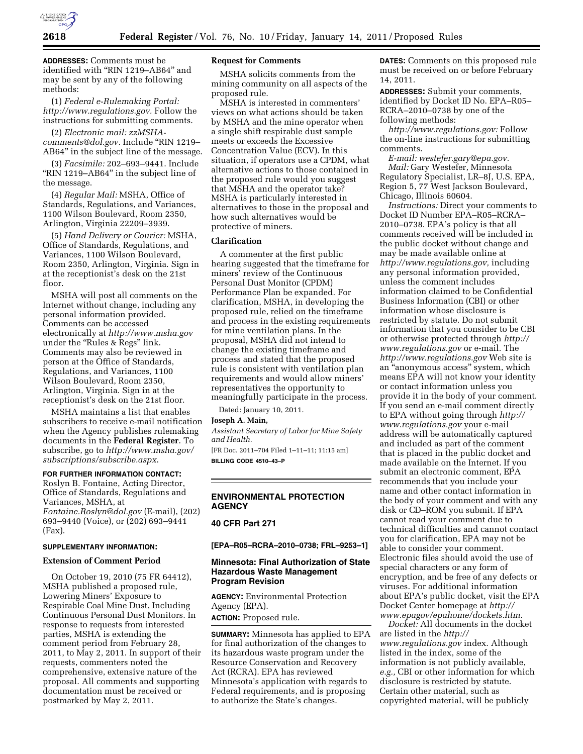

**ADDRESSES:** Comments must be identified with ''RIN 1219–AB64'' and may be sent by any of the following methods:

(1) *Federal e-Rulemaking Portal: [http://www.regulations.gov.](http://www.regulations.gov)* Follow the instructions for submitting comments.

(2) *Electronic mail: [zzMSHA](mailto:zzMSHA-comments@dol.gov)[comments@dol.gov.](mailto:zzMSHA-comments@dol.gov)* Include ''RIN 1219– AB64'' in the subject line of the message.

(3) *Facsimile:* 202–693–9441. Include "RIN 1219-AB64" in the subject line of the message.

(4) *Regular Mail:* MSHA, Office of Standards, Regulations, and Variances, 1100 Wilson Boulevard, Room 2350, Arlington, Virginia 22209–3939.

(5) *Hand Delivery or Courier:* MSHA, Office of Standards, Regulations, and Variances, 1100 Wilson Boulevard, Room 2350, Arlington, Virginia. Sign in at the receptionist's desk on the 21st floor.

MSHA will post all comments on the Internet without change, including any personal information provided. Comments can be accessed electronically at *<http://www.msha.gov>* under the "Rules & Regs" link. Comments may also be reviewed in person at the Office of Standards, Regulations, and Variances, 1100 Wilson Boulevard, Room 2350, Arlington, Virginia. Sign in at the receptionist's desk on the 21st floor.

MSHA maintains a list that enables subscribers to receive e-mail notification when the Agency publishes rulemaking documents in the **Federal Register**. To subscribe, go to *[http://www.msha.gov/](http://www.msha.gov/subscriptions/subscribe.aspx)  [subscriptions/subscribe.aspx](http://www.msha.gov/subscriptions/subscribe.aspx)*.

## **FOR FURTHER INFORMATION CONTACT:**

Roslyn B. Fontaine, Acting Director, Office of Standards, Regulations and Variances, MSHA, at *[Fontaine.Roslyn@dol.gov](mailto:Fontaine.Roslyn@dol.gov)* (E-mail), (202) 693–9440 (Voice), or (202) 693–9441 (Fax).

#### **SUPPLEMENTARY INFORMATION:**

### **Extension of Comment Period**

On October 19, 2010 (75 FR 64412), MSHA published a proposed rule, Lowering Miners' Exposure to Respirable Coal Mine Dust, Including Continuous Personal Dust Monitors. In response to requests from interested parties, MSHA is extending the comment period from February 28, 2011, to May 2, 2011. In support of their requests, commenters noted the comprehensive, extensive nature of the proposal. All comments and supporting documentation must be received or postmarked by May 2, 2011.

### **Request for Comments**

MSHA solicits comments from the mining community on all aspects of the proposed rule.

MSHA is interested in commenters' views on what actions should be taken by MSHA and the mine operator when a single shift respirable dust sample meets or exceeds the Excessive Concentration Value (ECV). In this situation, if operators use a CPDM, what alternative actions to those contained in the proposed rule would you suggest that MSHA and the operator take? MSHA is particularly interested in alternatives to those in the proposal and how such alternatives would be protective of miners.

#### **Clarification**

A commenter at the first public hearing suggested that the timeframe for miners' review of the Continuous Personal Dust Monitor (CPDM) Performance Plan be expanded. For clarification, MSHA, in developing the proposed rule, relied on the timeframe and process in the existing requirements for mine ventilation plans. In the proposal, MSHA did not intend to change the existing timeframe and process and stated that the proposed rule is consistent with ventilation plan requirements and would allow miners' representatives the opportunity to meaningfully participate in the process.

Dated: January 10, 2011.

# **Joseph A. Main,**

*Assistant Secretary of Labor for Mine Safety and Health.* 

[FR Doc. 2011–704 Filed 1–11–11; 11:15 am] **BILLING CODE 4510–43–P** 

## **ENVIRONMENTAL PROTECTION AGENCY**

**40 CFR Part 271** 

**[EPA–R05–RCRA–2010–0738; FRL–9253–1]** 

## **Minnesota: Final Authorization of State Hazardous Waste Management Program Revision**

**AGENCY:** Environmental Protection Agency (EPA).

**ACTION:** Proposed rule.

**SUMMARY:** Minnesota has applied to EPA for final authorization of the changes to its hazardous waste program under the Resource Conservation and Recovery Act (RCRA). EPA has reviewed Minnesota's application with regards to Federal requirements, and is proposing to authorize the State's changes.

**DATES:** Comments on this proposed rule must be received on or before February 14, 2011.

**ADDRESSES:** Submit your comments, identified by Docket ID No. EPA–R05– RCRA–2010–0738 by one of the following methods:

*[http://www.regulations.gov:](http://www.regulations.gov)* Follow the on-line instructions for submitting comments.

*E-mail: [westefer.gary@epa.gov.](mailto:westefer.gary@epa.gov) Mail:* Gary Westefer, Minnesota Regulatory Specialist, LR–8J, U.S. EPA, Region 5, 77 West Jackson Boulevard, Chicago, Illinois 60604.

*Instructions:* Direct your comments to Docket ID Number EPA–R05–RCRA– 2010–0738. EPA's policy is that all comments received will be included in the public docket without change and may be made available online at *[http://www.regulations.gov,](http://www.regulations.gov)* including any personal information provided, unless the comment includes information claimed to be Confidential Business Information (CBI) or other information whose disclosure is restricted by statute. Do not submit information that you consider to be CBI or otherwise protected through *[http://](http://www.regulations.gov)  [www.regulations.gov](http://www.regulations.gov)* or e-mail. The *<http://www.regulations.gov>* Web site is an ''anonymous access'' system, which means EPA will not know your identity or contact information unless you provide it in the body of your comment. If you send an e-mail comment directly to EPA without going through *[http://](http://www.regulations.gov) [www.regulations.gov](http://www.regulations.gov)* your e-mail address will be automatically captured and included as part of the comment that is placed in the public docket and made available on the Internet. If you submit an electronic comment, EPA recommends that you include your name and other contact information in the body of your comment and with any disk or CD–ROM you submit. If EPA cannot read your comment due to technical difficulties and cannot contact you for clarification, EPA may not be able to consider your comment. Electronic files should avoid the use of special characters or any form of encryption, and be free of any defects or viruses. For additional information about EPA's public docket, visit the EPA Docket Center homepage at *[http://](http://www.epagov/epahome/dockets.htm) [www.epagov/epahome/dockets.htm.](http://www.epagov/epahome/dockets.htm)* 

*Docket:* All documents in the docket are listed in the *[http://](http://www.regulations.gov) [www.regulations.gov](http://www.regulations.gov)* index. Although listed in the index, some of the information is not publicly available, *e.g.,* CBI or other information for which disclosure is restricted by statute. Certain other material, such as copyrighted material, will be publicly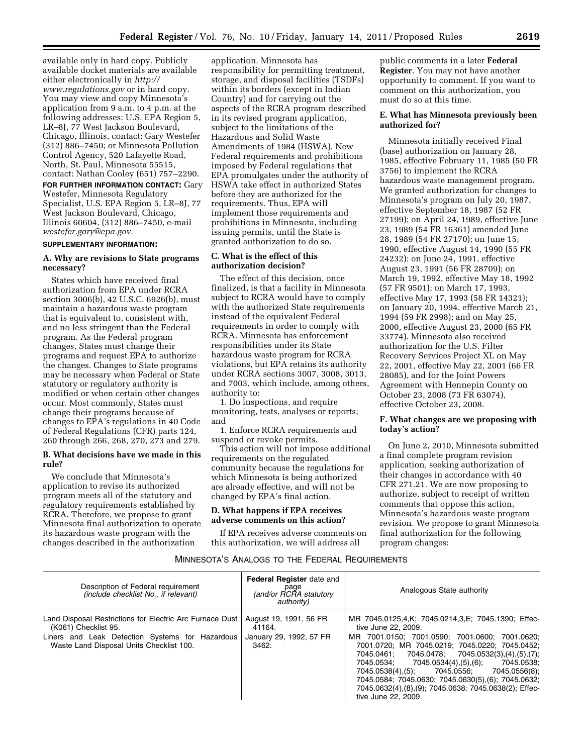available only in hard copy. Publicly available docket materials are available either electronically in *[http://](http://www.regulations.gov)  [www.regulations.gov](http://www.regulations.gov)* or in hard copy. You may view and copy Minnesota's application from 9 a.m. to 4 p.m. at the following addresses: U.S. EPA Region 5, LR–8J, 77 West Jackson Boulevard, Chicago, Illinois, contact: Gary Westefer (312) 886–7450; or Minnesota Pollution Control Agency, 520 Lafayette Road, North, St. Paul, Minnesota 55515, contact: Nathan Cooley (651) 757–2290.

**FOR FURTHER INFORMATION CONTACT:** Gary Westefer, Minnesota Regulatory Specialist, U.S. EPA Region 5, LR-8J, 77 West Jackson Boulevard, Chicago, Illinois 60604, (312) 886–7450, e-mail *[westefer.gary@epa.gov.](mailto:westefer.gary@epa.gov)* 

#### **SUPPLEMENTARY INFORMATION:**

## **A. Why are revisions to State programs necessary?**

States which have received final authorization from EPA under RCRA section 3006(b), 42 U.S.C. 6926(b), must maintain a hazardous waste program that is equivalent to, consistent with, and no less stringent than the Federal program. As the Federal program changes, States must change their programs and request EPA to authorize the changes. Changes to State programs may be necessary when Federal or State statutory or regulatory authority is modified or when certain other changes occur. Most commonly, States must change their programs because of changes to EPA's regulations in 40 Code of Federal Regulations (CFR) parts 124, 260 through 266, 268, 270, 273 and 279.

#### **B. What decisions have we made in this rule?**

We conclude that Minnesota's application to revise its authorized program meets all of the statutory and regulatory requirements established by RCRA. Therefore, we propose to grant Minnesota final authorization to operate its hazardous waste program with the changes described in the authorization

application. Minnesota has responsibility for permitting treatment, storage, and disposal facilities (TSDFs) within its borders (except in Indian Country) and for carrying out the aspects of the RCRA program described in its revised program application, subject to the limitations of the Hazardous and Solid Waste Amendments of 1984 (HSWA). New Federal requirements and prohibitions imposed by Federal regulations that EPA promulgates under the authority of HSWA take effect in authorized States before they are authorized for the requirements. Thus, EPA will implement those requirements and prohibitions in Minnesota, including issuing permits, until the State is granted authorization to do so.

## **C. What is the effect of this authorization decision?**

The effect of this decision, once finalized, is that a facility in Minnesota subject to RCRA would have to comply with the authorized State requirements instead of the equivalent Federal requirements in order to comply with RCRA. Minnesota has enforcement responsibilities under its State hazardous waste program for RCRA violations, but EPA retains its authority under RCRA sections 3007, 3008, 3013, and 7003, which include, among others, authority to:

1. Do inspections, and require monitoring, tests, analyses or reports; and

1. Enforce RCRA requirements and suspend or revoke permits.

This action will not impose additional requirements on the regulated community because the regulations for which Minnesota is being authorized are already effective, and will not be changed by EPA's final action.

## **D. What happens if EPA receives adverse comments on this action?**

If EPA receives adverse comments on this authorization, we will address all

public comments in a later **Federal Register**. You may not have another opportunity to comment. If you want to comment on this authorization, you must do so at this time.

## **E. What has Minnesota previously been authorized for?**

Minnesota initially received Final (base) authorization on January 28, 1985, effective February 11, 1985 (50 FR 3756) to implement the RCRA hazardous waste management program. We granted authorization for changes to Minnesota's program on July 20, 1987, effective September 18, 1987 (52 FR 27199); on April 24, 1989, effective June 23, 1989 (54 FR 16361) amended June 28, 1989 (54 FR 27170); on June 15, 1990, effective August 14, 1990 (55 FR 24232); on June 24, 1991, effective August 23, 1991 (56 FR 28709); on March 19, 1992, effective May 18, 1992 (57 FR 9501); on March 17, 1993, effective May 17, 1993 (58 FR 14321); on January 20, 1994, effective March 21, 1994 (59 FR 2998); and on May 25, 2000, effective August 23, 2000 (65 FR 33774). Minnesota also received authorization for the U.S. Filter Recovery Services Project XL on May 22, 2001, effective May 22, 2001 (66 FR 28085), and for the Joint Powers Agreement with Hennepin County on October 23, 2008 (73 FR 63074), effective October 23, 2008.

## **F. What changes are we proposing with today's action?**

On June 2, 2010, Minnesota submitted a final complete program revision application, seeking authorization of their changes in accordance with 40 CFR 271.21. We are now proposing to authorize, subject to receipt of written comments that oppose this action, Minnesota's hazardous waste program revision. We propose to grant Minnesota final authorization for the following program changes:

# MINNESOTA'S ANALOGS TO THE FEDERAL REQUIREMENTS

| Description of Federal requirement<br><i>(include checklist No., if relevant)</i>                                                                                               | <b>Federal Register date and</b><br>page<br>(and/or RCRA statutory<br>authority) | Analogous State authority                                                                                                                                                                                                                                                                                                                                                                                                                                                         |
|---------------------------------------------------------------------------------------------------------------------------------------------------------------------------------|----------------------------------------------------------------------------------|-----------------------------------------------------------------------------------------------------------------------------------------------------------------------------------------------------------------------------------------------------------------------------------------------------------------------------------------------------------------------------------------------------------------------------------------------------------------------------------|
| Land Disposal Restrictions for Electric Arc Furnace Dust<br>(K061) Checklist 95.<br>Liners and Leak Detection Systems for Hazardous<br>Waste Land Disposal Units Checklist 100. | August 19, 1991, 56 FR<br>41164.<br>January 29, 1992, 57 FR<br>3462.             | MR 7045.0125.4.K; 7045.0214.3.E; 7045.1390; Effec-<br>tive June 22, 2009.<br>MR 7001.0150: 7001.0590: 7001.0600: 7001.0620:<br>7001.0720; MR 7045.0219; 7045.0220; 7045.0452;<br>7045.0461; 7045.0478; 7045.0532(3),(4),(5),(7);<br>7045.0534; 7045.0534(4), (5), (6);<br>7045.0538:<br>7045.0538(4),(5);<br>7045.0556:<br>7045.0556(8);<br>7045.0584; 7045.0630; 7045.0630(5), (6); 7045.0632;<br>7045.0632(4), (8), (9); 7045.0638; 7045.0638(2); Effec-<br>tive June 22, 2009. |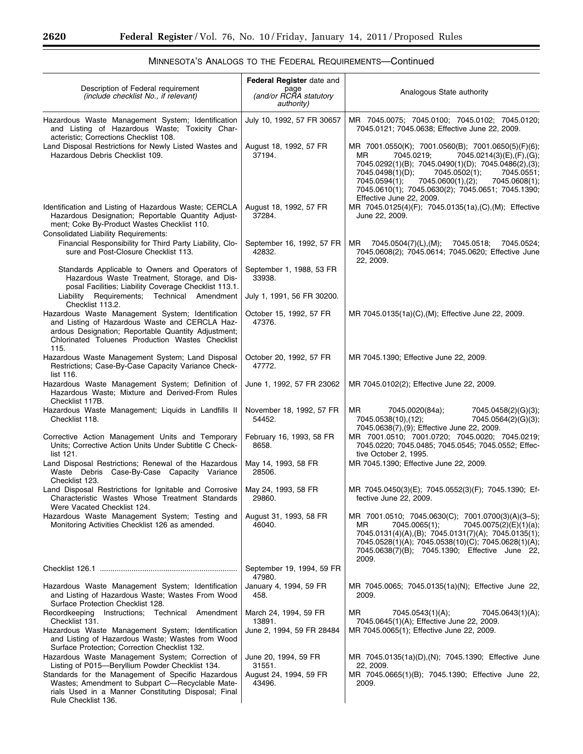٠

|                                                                                                                                                                                                                        | Federal Register date and                    |                                                                                                                                                                                                                                                                                                                                                      |
|------------------------------------------------------------------------------------------------------------------------------------------------------------------------------------------------------------------------|----------------------------------------------|------------------------------------------------------------------------------------------------------------------------------------------------------------------------------------------------------------------------------------------------------------------------------------------------------------------------------------------------------|
| Description of Federal requirement<br>(include checklist No., if relevant)                                                                                                                                             | page<br>(and/or RCRA statutory<br>authority) | Analogous State authority                                                                                                                                                                                                                                                                                                                            |
| Hazardous Waste Management System; Identification<br>and Listing of Hazardous Waste; Toxicity Char-<br>acteristic; Corrections Checklist 108.                                                                          | July 10, 1992, 57 FR 30657                   | MR 7045.0075; 7045.0100; 7045.0102; 7045.0120;<br>7045.0121; 7045.0638; Effective June 22, 2009.                                                                                                                                                                                                                                                     |
| Land Disposal Restrictions for Newly Listed Wastes and<br>Hazardous Debris Checklist 109.                                                                                                                              | August 18, 1992, 57 FR<br>37194.             | MR 7001.0550(K); 7001.0560(B); 7001.0650(5)(F)(6);<br>7045.0219;<br>7045.0214(3)(E),(F),(G);<br>МR<br>7045.0292(1)(B); 7045.0490(1)(D); 7045.0486(2),(3);<br>7045.0502(1);<br>7045.0498(1)(D);<br>7045.0551;<br>7045.0600(1),(2);<br>7045.0608(1);<br>7045.0594(1);<br>7045.0610(1); 7045.0630(2); 7045.0651; 7045.1390;<br>Effective June 22, 2009. |
| Identification and Listing of Hazardous Waste; CERCLA<br>Hazardous Designation; Reportable Quantity Adjust-<br>ment; Coke By-Product Wastes Checklist 110.<br><b>Consolidated Liability Requirements:</b>              | August 18, 1992, 57 FR<br>37284.             | MR 7045.0125(4)(F); 7045.0135(1a),(C),(M); Effective<br>June 22, 2009.                                                                                                                                                                                                                                                                               |
| Financial Responsibility for Third Party Liability, Clo-<br>sure and Post-Closure Checklist 113.                                                                                                                       | September 16, 1992, 57 FR<br>42832.          | MR<br>7045.0504(7)(L),(M);<br>7045.0518;<br>7045.0524;<br>7045.0608(2); 7045.0614; 7045.0620; Effective June<br>22, 2009.                                                                                                                                                                                                                            |
| Standards Applicable to Owners and Operators of<br>Hazardous Waste Treatment, Storage, and Dis-<br>posal Facilities; Liability Coverage Checklist 113.1.                                                               | September 1, 1988, 53 FR<br>33938.           |                                                                                                                                                                                                                                                                                                                                                      |
| Liability Requirements; Technical Amendment<br>Checklist 113.2.                                                                                                                                                        | July 1, 1991, 56 FR 30200.                   |                                                                                                                                                                                                                                                                                                                                                      |
| Hazardous Waste Management System; Identification<br>and Listing of Hazardous Waste and CERCLA Haz-<br>ardous Designation; Reportable Quantity Adjustment;<br>Chlorinated Toluenes Production Wastes Checklist<br>115. | October 15, 1992, 57 FR<br>47376.            | MR 7045.0135(1a)(C),(M); Effective June 22, 2009.                                                                                                                                                                                                                                                                                                    |
| Hazardous Waste Management System; Land Disposal<br>Restrictions; Case-By-Case Capacity Variance Check-<br>list 116.                                                                                                   | October 20, 1992, 57 FR<br>47772.            | MR 7045.1390; Effective June 22, 2009.                                                                                                                                                                                                                                                                                                               |
| Hazardous Waste Management System; Definition of<br>Hazardous Waste; Mixture and Derived-From Rules<br>Checklist 117B.                                                                                                 | June 1, 1992, 57 FR 23062                    | MR 7045.0102(2); Effective June 22, 2009.                                                                                                                                                                                                                                                                                                            |
| Hazardous Waste Management; Liquids in Landfills II<br>Checklist 118.                                                                                                                                                  | November 18, 1992, 57 FR<br>54452.           | ΜR<br>7045.0020(84a);<br>7045.0458(2)(G)(3);<br>7045.0538(10),(12);<br>7045.0564(2)(G)(3);<br>7045.0638(7),(9); Effective June 22, 2009.                                                                                                                                                                                                             |
| Corrective Action Management Units and Temporary<br>Units; Corrective Action Units Under Subtitle C Check-<br>list 121.                                                                                                | February 16, 1993, 58 FR<br>8658.            | MR 7001.0510; 7001.0720; 7045.0020; 7045.0219;<br>7045.0220; 7045.0485; 7045.0545; 7045.0552; Effec-<br>tive October 2, 1995.                                                                                                                                                                                                                        |
| Land Disposal Restrictions; Renewal of the Hazardous<br>Waste Debris Case-By-Case Capacity Variance<br>Checklist 123.                                                                                                  | May 14, 1993, 58 FR<br>28506.                | MR 7045.1390; Effective June 22, 2009.                                                                                                                                                                                                                                                                                                               |
| Land Disposal Restrictions for Ignitable and Corrosive<br>Characteristic Wastes Whose Treatment Standards<br>Were Vacated Checklist 124.                                                                               | May 24, 1993, 58 FR<br>29860.                | MR 7045.0450(3)(E); 7045.0552(3)(F); 7045.1390; Ef-<br>fective June 22, 2009.                                                                                                                                                                                                                                                                        |
| Hazardous Waste Management System; Testing and<br>Monitoring Activities Checklist 126 as amended.                                                                                                                      | August 31, 1993, 58 FR<br>46040.             | MR 7001.0510; 7045.0630(C); 7001.0700(3)(A)(3-5);<br>7045.0065(1);<br>7045.0075(2)(E)(1)(a);<br>МR<br>7045.0131(4)(A),(B); 7045.0131(7)(A); 7045.0135(1);<br>7045.0528(1)(A); 7045.0538(10)(C); 7045.0628(1)(A);<br>7045.0638(7)(B); 7045.1390; Effective June 22,<br>2009.                                                                          |
|                                                                                                                                                                                                                        | September 19, 1994, 59 FR<br>47980.          |                                                                                                                                                                                                                                                                                                                                                      |
| Hazardous Waste Management System; Identification<br>and Listing of Hazardous Waste; Wastes From Wood<br>Surface Protection Checklist 128.                                                                             | January 4, 1994, 59 FR<br>458.               | MR 7045.0065; 7045.0135(1a)(N); Effective June 22,<br>2009.                                                                                                                                                                                                                                                                                          |
| Recordkeeping Instructions; Technical Amendment<br>Checklist 131.                                                                                                                                                      | March 24, 1994, 59 FR<br>13891.              | ΜR<br>7045.0543(1)(A);<br>7045.0643(1)(A);<br>7045.0645(1)(A); Effective June 22, 2009.                                                                                                                                                                                                                                                              |
| Hazardous Waste Management System; Identification<br>and Listing of Hazardous Waste; Wastes from Wood<br>Surface Protection; Correction Checklist 132.                                                                 | June 2, 1994, 59 FR 28484                    | MR 7045.0065(1); Effective June 22, 2009.                                                                                                                                                                                                                                                                                                            |
| Hazardous Waste Management System; Correction of<br>Listing of P015-Beryllium Powder Checklist 134.                                                                                                                    | June 20, 1994, 59 FR<br>31551.               | MR 7045.0135(1a)(D),(N); 7045.1390; Effective June<br>22, 2009.                                                                                                                                                                                                                                                                                      |
| Standards for the Management of Specific Hazardous<br>Wastes; Amendment to Subpart C-Recyclable Mate-<br>rials Used in a Manner Constituting Disposal; Final<br>Rule Checklist 136.                                    | August 24, 1994, 59 FR<br>43496.             | MR 7045.0665(1)(B); 7045.1390; Effective June 22,<br>2009.                                                                                                                                                                                                                                                                                           |

# MINNESOTA'S ANALOGS TO THE FEDERAL REQUIREMENTS—Continued

۳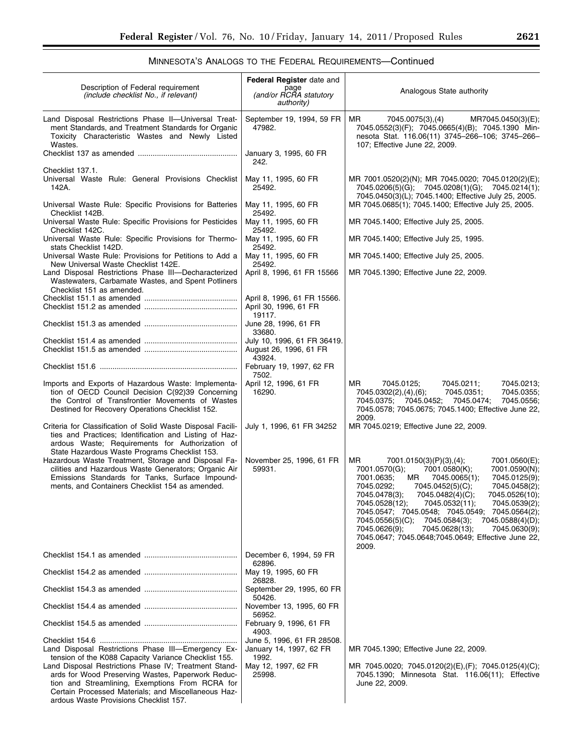# MINNESOTA'S ANALOGS TO THE FEDERAL REQUIREMENTS—Continued

| Description of Federal requirement<br><i>(include checklist No., if relevant)</i>                                                                                                                                                                                                                                                                                            | Federal Register date and<br>page<br>(and/or RCRA statutory<br>authority)                       | Analogous State authority                                                                                                                                                                                                                                                                                                                                                                                                                                                                                                                             |
|------------------------------------------------------------------------------------------------------------------------------------------------------------------------------------------------------------------------------------------------------------------------------------------------------------------------------------------------------------------------------|-------------------------------------------------------------------------------------------------|-------------------------------------------------------------------------------------------------------------------------------------------------------------------------------------------------------------------------------------------------------------------------------------------------------------------------------------------------------------------------------------------------------------------------------------------------------------------------------------------------------------------------------------------------------|
| Land Disposal Restrictions Phase II-Universal Treat-<br>ment Standards, and Treatment Standards for Organic<br>Toxicity Characteristic Wastes and Newly Listed<br>Wastes.                                                                                                                                                                                                    | September 19, 1994, 59 FR<br>47982.                                                             | MR.<br>7045.0075(3),(4)<br>MR7045.0450(3)(E);<br>7045.0552(3)(F); 7045.0665(4)(B); 7045.1390 Min-<br>nesota Stat. 116.06(11) 3745-266-106; 3745-266-<br>107; Effective June 22, 2009.                                                                                                                                                                                                                                                                                                                                                                 |
|                                                                                                                                                                                                                                                                                                                                                                              | January 3, 1995, 60 FR<br>242.                                                                  |                                                                                                                                                                                                                                                                                                                                                                                                                                                                                                                                                       |
| Checklist 137.1.<br>Universal Waste Rule: General Provisions Checklist<br>142A.                                                                                                                                                                                                                                                                                              | May 11, 1995, 60 FR<br>25492.                                                                   | MR 7001.0520(2)(N); MR 7045.0020; 7045.0120(2)(E);<br>7045.0206(5)(G); 7045.0208(1)(G); 7045.0214(1);<br>7045.0450(3)(L); 7045.1400; Effective July 25, 2005.                                                                                                                                                                                                                                                                                                                                                                                         |
| Universal Waste Rule: Specific Provisions for Batteries<br>Checklist 142B.                                                                                                                                                                                                                                                                                                   | May 11, 1995, 60 FR<br>25492.                                                                   | MR 7045.0685(1); 7045.1400; Effective July 25, 2005.                                                                                                                                                                                                                                                                                                                                                                                                                                                                                                  |
| Universal Waste Rule: Specific Provisions for Pesticides<br>Checklist 142C.                                                                                                                                                                                                                                                                                                  | May 11, 1995, 60 FR<br>25492.                                                                   | MR 7045.1400; Effective July 25, 2005.                                                                                                                                                                                                                                                                                                                                                                                                                                                                                                                |
| Universal Waste Rule: Specific Provisions for Thermo-<br>stats Checklist 142D.                                                                                                                                                                                                                                                                                               | May 11, 1995, 60 FR<br>25492.                                                                   | MR 7045.1400; Effective July 25, 1995.                                                                                                                                                                                                                                                                                                                                                                                                                                                                                                                |
| Universal Waste Rule: Provisions for Petitions to Add a<br>New Universal Waste Checklist 142E.                                                                                                                                                                                                                                                                               | May 11, 1995, 60 FR<br>25492.                                                                   | MR 7045.1400; Effective July 25, 2005.                                                                                                                                                                                                                                                                                                                                                                                                                                                                                                                |
| Land Disposal Restrictions Phase III-Decharacterized<br>Wastewaters, Carbamate Wastes, and Spent Potliners<br>Checklist 151 as amended.                                                                                                                                                                                                                                      | April 8, 1996, 61 FR 15566                                                                      | MR 7045.1390; Effective June 22, 2009.                                                                                                                                                                                                                                                                                                                                                                                                                                                                                                                |
|                                                                                                                                                                                                                                                                                                                                                                              | April 8, 1996, 61 FR 15566.<br>April 30, 1996, 61 FR                                            |                                                                                                                                                                                                                                                                                                                                                                                                                                                                                                                                                       |
|                                                                                                                                                                                                                                                                                                                                                                              | 19117.<br>June 28, 1996, 61 FR<br>33680.                                                        |                                                                                                                                                                                                                                                                                                                                                                                                                                                                                                                                                       |
|                                                                                                                                                                                                                                                                                                                                                                              | July 10, 1996, 61 FR 36419.<br>August 26, 1996, 61 FR<br>43924.                                 |                                                                                                                                                                                                                                                                                                                                                                                                                                                                                                                                                       |
|                                                                                                                                                                                                                                                                                                                                                                              | February 19, 1997, 62 FR<br>7502.                                                               |                                                                                                                                                                                                                                                                                                                                                                                                                                                                                                                                                       |
| Imports and Exports of Hazardous Waste: Implementa-<br>tion of OECD Council Decision C(92)39 Concerning<br>the Control of Transfrontier Movements of Wastes<br>Destined for Recovery Operations Checklist 152.                                                                                                                                                               | April 12, 1996, 61 FR<br>16290.                                                                 | MR.<br>7045.0125;<br>7045.0211;<br>7045.0213;<br>7045.0302(2),(4),(6);<br>7045.0351;<br>7045.0355;<br>7045.0375; 7045.0452;<br>7045.0474;<br>7045.0556;<br>7045.0578; 7045.0675; 7045.1400; Effective June 22,<br>2009.                                                                                                                                                                                                                                                                                                                               |
| Criteria for Classification of Solid Waste Disposal Facili-<br>ties and Practices; Identification and Listing of Haz-<br>ardous Waste; Requirements for Authorization of<br>State Hazardous Waste Programs Checklist 153.                                                                                                                                                    | July 1, 1996, 61 FR 34252                                                                       | MR 7045.0219; Effective June 22, 2009.                                                                                                                                                                                                                                                                                                                                                                                                                                                                                                                |
| Hazardous Waste Treatment, Storage and Disposal Fa-<br>cilities and Hazardous Waste Generators; Organic Air<br>Emissions Standards for Tanks, Surface Impound-<br>ments, and Containers Checklist 154 as amended.                                                                                                                                                            | November 25, 1996, 61 FR<br>59931.                                                              | MR.<br>7001.0150(3)(P)(3),(4);<br>7001.0560(E);<br>7001.0570(G);<br>7001.0580(K);<br>7001.0590(N);<br>7001.0635;<br>MR<br>7045.0065(1);<br>7045.0125(9);<br>7045.0292;<br>7045.0452(5)(C);<br>7045.0458(2);<br>7045.0526(10);<br>7045.0478(3);<br>7045.0482(4)(C);<br>7045.0528(12);<br>7045.0532(11);<br>7045.0539(2);<br>7045.0547; 7045.0548; 7045.0549; 7045.0564(2);<br>7045.0556(5)(C);<br>7045.0584(3);<br>7045.0588(4)(D);<br>7045.0626(9);<br>7045.0628(13);<br>7045.0630(9);<br>7045.0647; 7045.0648;7045.0649; Effective June 22,<br>2009. |
|                                                                                                                                                                                                                                                                                                                                                                              | December 6, 1994, 59 FR<br>62896.                                                               |                                                                                                                                                                                                                                                                                                                                                                                                                                                                                                                                                       |
|                                                                                                                                                                                                                                                                                                                                                                              | May 19, 1995, 60 FR<br>26828.                                                                   |                                                                                                                                                                                                                                                                                                                                                                                                                                                                                                                                                       |
|                                                                                                                                                                                                                                                                                                                                                                              | September 29, 1995, 60 FR<br>50426.                                                             |                                                                                                                                                                                                                                                                                                                                                                                                                                                                                                                                                       |
|                                                                                                                                                                                                                                                                                                                                                                              | November 13, 1995, 60 FR<br>56952.                                                              |                                                                                                                                                                                                                                                                                                                                                                                                                                                                                                                                                       |
|                                                                                                                                                                                                                                                                                                                                                                              | February 9, 1996, 61 FR<br>4903.                                                                |                                                                                                                                                                                                                                                                                                                                                                                                                                                                                                                                                       |
| Land Disposal Restrictions Phase III-Emergency Ex-<br>tension of the K088 Capacity Variance Checklist 155.<br>Land Disposal Restrictions Phase IV; Treatment Stand-<br>ards for Wood Preserving Wastes, Paperwork Reduc-<br>tion and Streamlining, Exemptions From RCRA for<br>Certain Processed Materials; and Miscellaneous Haz-<br>ardous Waste Provisions Checklist 157. | June 5, 1996, 61 FR 28508.<br>January 14, 1997, 62 FR<br>1992.<br>May 12, 1997, 62 FR<br>25998. | MR 7045.1390; Effective June 22, 2009.<br>MR 7045.0020; 7045.0120(2)(E),(F); 7045.0125(4)(C);<br>7045.1390; Minnesota Stat. 116.06(11); Effective<br>June 22, 2009.                                                                                                                                                                                                                                                                                                                                                                                   |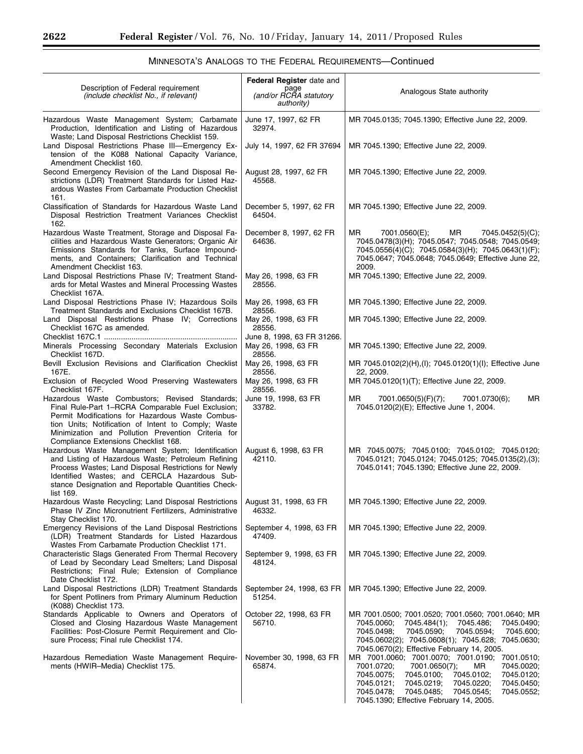٠

| Description of Federal requirement<br>(include checklist No., if relevant)                                                                                                                                                                                                                                   | Federal Register date and<br>page<br>(and/or RCRA statutory<br>authority) | Analogous State authority                                                                                                                                                                                                                                                                                                |
|--------------------------------------------------------------------------------------------------------------------------------------------------------------------------------------------------------------------------------------------------------------------------------------------------------------|---------------------------------------------------------------------------|--------------------------------------------------------------------------------------------------------------------------------------------------------------------------------------------------------------------------------------------------------------------------------------------------------------------------|
| Hazardous Waste Management System; Carbamate<br>Production, Identification and Listing of Hazardous                                                                                                                                                                                                          | June 17, 1997, 62 FR<br>32974.                                            | MR 7045.0135; 7045.1390; Effective June 22, 2009.                                                                                                                                                                                                                                                                        |
| Waste; Land Disposal Restrictions Checklist 159.<br>Land Disposal Restrictions Phase III-Emergency Ex-<br>tension of the K088 National Capacity Variance,                                                                                                                                                    | July 14, 1997, 62 FR 37694                                                | MR 7045.1390; Effective June 22, 2009.                                                                                                                                                                                                                                                                                   |
| Amendment Checklist 160.<br>Second Emergency Revision of the Land Disposal Re-<br>strictions (LDR) Treatment Standards for Listed Haz-<br>ardous Wastes From Carbamate Production Checklist<br>161.                                                                                                          | August 28, 1997, 62 FR<br>45568.                                          | MR 7045.1390; Effective June 22, 2009.                                                                                                                                                                                                                                                                                   |
| Classification of Standards for Hazardous Waste Land<br>Disposal Restriction Treatment Variances Checklist<br>162.                                                                                                                                                                                           | December 5, 1997, 62 FR<br>64504.                                         | MR 7045.1390; Effective June 22, 2009.                                                                                                                                                                                                                                                                                   |
| Hazardous Waste Treatment, Storage and Disposal Fa-<br>cilities and Hazardous Waste Generators; Organic Air<br>Emissions Standards for Tanks, Surface Impound-<br>ments, and Containers; Clarification and Technical<br>Amendment Checklist 163.                                                             | December 8, 1997, 62 FR<br>64636.                                         | MR.<br>7001.0560(E);<br>MR<br>7045.0452(5)(C);<br>7045.0478(3)(H); 7045.0547; 7045.0548; 7045.0549;<br>7045.0556(4)(C); 7045.0584(3)(H); 7045.0643(1)(F);<br>7045.0647; 7045.0648; 7045.0649; Effective June 22,<br>2009.                                                                                                |
| Land Disposal Restrictions Phase IV; Treatment Stand-<br>ards for Metal Wastes and Mineral Processing Wastes<br>Checklist 167A.                                                                                                                                                                              | May 26, 1998, 63 FR<br>28556.                                             | MR 7045.1390; Effective June 22, 2009.                                                                                                                                                                                                                                                                                   |
| Land Disposal Restrictions Phase IV; Hazardous Soils<br>Treatment Standards and Exclusions Checklist 167B.                                                                                                                                                                                                   | May 26, 1998, 63 FR<br>28556.                                             | MR 7045.1390; Effective June 22, 2009.                                                                                                                                                                                                                                                                                   |
| Land Disposal Restrictions Phase IV; Corrections<br>Checklist 167C as amended.                                                                                                                                                                                                                               | May 26, 1998, 63 FR<br>28556.                                             | MR 7045.1390; Effective June 22, 2009.                                                                                                                                                                                                                                                                                   |
| Minerals Processing Secondary Materials Exclusion                                                                                                                                                                                                                                                            | June 8, 1998, 63 FR 31266.<br>May 26, 1998, 63 FR                         | MR 7045.1390; Effective June 22, 2009.                                                                                                                                                                                                                                                                                   |
| Checklist 167D.<br>Bevill Exclusion Revisions and Clarification Checklist<br>167E.                                                                                                                                                                                                                           | 28556.<br>May 26, 1998, 63 FR<br>28556.                                   | MR 7045.0102(2)(H),(I); 7045.0120(1)(I); Effective June<br>22, 2009.                                                                                                                                                                                                                                                     |
| Exclusion of Recycled Wood Preserving Wastewaters<br>Checklist 167F.                                                                                                                                                                                                                                         | May 26, 1998, 63 FR<br>28556.                                             | MR 7045.0120(1)(T); Effective June 22, 2009.                                                                                                                                                                                                                                                                             |
| Hazardous Waste Combustors; Revised Standards;<br>Final Rule-Part 1-RCRA Comparable Fuel Exclusion;<br>Permit Modifications for Hazardous Waste Combus-<br>tion Units; Notification of Intent to Comply; Waste<br>Minimization and Pollution Prevention Criteria for<br>Compliance Extensions Checklist 168. | June 19, 1998, 63 FR<br>33782.                                            | MR<br>MR<br>7001.0650(5)(F)(7);<br>7001.0730(6);<br>7045.0120(2)(E); Effective June 1, 2004.                                                                                                                                                                                                                             |
| Hazardous Waste Management System; Identification<br>and Listing of Hazardous Waste; Petroleum Refining<br>Process Wastes; Land Disposal Restrictions for Newly<br>Identified Wastes; and CERCLA Hazardous Sub-<br>stance Designation and Reportable Quantities Check-<br>list 169.                          | August 6, 1998, 63 FR<br>42110.                                           | MR 7045.0075; 7045.0100; 7045.0102; 7045.0120;<br>7045.0121; 7045.0124; 7045.0125; 7045.0135(2),(3);<br>7045.0141; 7045.1390; Effective June 22, 2009.                                                                                                                                                                   |
| Hazardous Waste Recycling; Land Disposal Restrictions<br>Phase IV Zinc Micronutrient Fertilizers, Administrative<br>Stay Checklist 170.                                                                                                                                                                      | August 31, 1998, 63 FR<br>46332.                                          | MR 7045.1390; Effective June 22, 2009.                                                                                                                                                                                                                                                                                   |
| Emergency Revisions of the Land Disposal Restrictions<br>(LDR) Treatment Standards for Listed Hazardous<br>Wastes From Carbamate Production Checklist 171.                                                                                                                                                   | September 4, 1998, 63 FR<br>47409.                                        | MR 7045.1390; Effective June 22, 2009.                                                                                                                                                                                                                                                                                   |
| Characteristic Slags Generated From Thermal Recovery<br>of Lead by Secondary Lead Smelters; Land Disposal<br>Restrictions; Final Rule; Extension of Compliance<br>Date Checklist 172.                                                                                                                        | September 9, 1998, 63 FR<br>48124.                                        | MR 7045.1390; Effective June 22, 2009.                                                                                                                                                                                                                                                                                   |
| Land Disposal Restrictions (LDR) Treatment Standards<br>for Spent Potliners from Primary Aluminum Reduction<br>(K088) Checklist 173.                                                                                                                                                                         | September 24, 1998, 63 FR<br>51254.                                       | MR 7045.1390; Effective June 22, 2009.                                                                                                                                                                                                                                                                                   |
| Standards Applicable to Owners and Operators of<br>Closed and Closing Hazardous Waste Management<br>Facilities: Post-Closure Permit Requirement and Clo-<br>sure Process; Final rule Checklist 174.                                                                                                          | October 22, 1998, 63 FR<br>56710.                                         | MR 7001.0500; 7001.0520; 7001.0560; 7001.0640; MR<br>7045.0060;<br>7045.484(1);<br>7045.486;<br>7045.0490;<br>7045.0590;<br>7045.0498;<br>7045.0594;<br>7045.600;<br>7045.0602(2); 7045.0608(1); 7045.628; 7045.0630;<br>7045.0670(2); Effective February 14, 2005.                                                      |
| Hazardous Remediation Waste Management Require-<br>ments (HWIR-Media) Checklist 175.                                                                                                                                                                                                                         | November 30, 1998, 63 FR<br>65874.                                        | MR 7001.0060; 7001.0070; 7001.0190;<br>7001.0510;<br>7001.0720;<br>7001.0650(7);<br>7045.0020;<br>MR.<br>7045.0075;<br>7045.0100;<br>7045.0120;<br>7045.0102;<br>7045.0121;<br>7045.0219;<br>7045.0220;<br>7045.0450;<br>7045.0478;<br>7045.0485;<br>7045.0545;<br>7045.0552;<br>7045.1390; Effective February 14, 2005. |

# MINNESOTA'S ANALOGS TO THE FEDERAL REQUIREMENTS—Continued

Ξ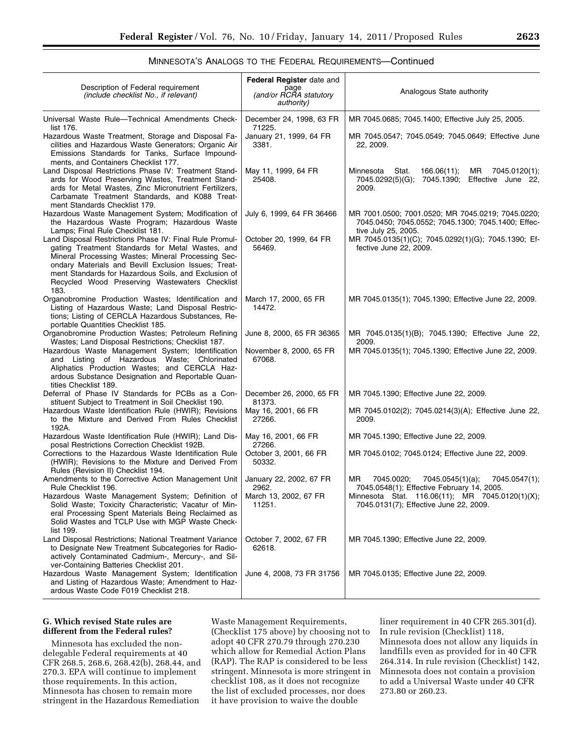# MINNESOTA'S ANALOGS TO THE FEDERAL REQUIREMENTS—Continued

| Description of Federal requirement<br>(include checklist No., if relevant)                                                                                                                                                                                                                                                                  | Federal Register date and<br>page<br>(and/or RCRA statutory<br>authority) | Analogous State authority                                                                                                      |
|---------------------------------------------------------------------------------------------------------------------------------------------------------------------------------------------------------------------------------------------------------------------------------------------------------------------------------------------|---------------------------------------------------------------------------|--------------------------------------------------------------------------------------------------------------------------------|
| Universal Waste Rule-Technical Amendments Check-<br>list 176.                                                                                                                                                                                                                                                                               | December 24, 1998, 63 FR<br>71225.                                        | MR 7045.0685; 7045.1400; Effective July 25, 2005.                                                                              |
| Hazardous Waste Treatment, Storage and Disposal Fa-<br>cilities and Hazardous Waste Generators; Organic Air<br>Emissions Standards for Tanks, Surface Impound-<br>ments, and Containers Checklist 177.                                                                                                                                      | January 21, 1999, 64 FR<br>3381.                                          | MR 7045.0547; 7045.0549; 7045.0649; Effective June<br>22, 2009.                                                                |
| Land Disposal Restrictions Phase IV: Treatment Stand-<br>ards for Wood Preserving Wastes, Treatment Stand-<br>ards for Metal Wastes, Zinc Micronutrient Fertilizers,<br>Carbamate Treatment Standards, and K088 Treat-<br>ment Standards Checklist 179.                                                                                     | May 11, 1999, 64 FR<br>25408.                                             | 166.06(11);<br>MR<br>7045.0120(1);<br>Minnesota<br>Stat.<br>7045.0292(5)(G); 7045.1390;<br>Effective June 22,<br>2009.         |
| Hazardous Waste Management System; Modification of<br>the Hazardous Waste Program; Hazardous Waste<br>Lamps; Final Rule Checklist 181.                                                                                                                                                                                                      | July 6, 1999, 64 FR 36466                                                 | MR 7001.0500; 7001.0520; MR 7045.0219; 7045.0220;<br>7045.0450; 7045.0552; 7045.1300; 7045.1400; Effec-<br>tive July 25, 2005. |
| Land Disposal Restrictions Phase IV: Final Rule Promul-<br>gating Treatment Standards for Metal Wastes, and<br>Mineral Processing Wastes; Mineral Processing Sec-<br>ondary Materials and Bevill Exclusion Issues; Treat-<br>ment Standards for Hazardous Soils, and Exclusion of<br>Recycled Wood Preserving Wastewaters Checklist<br>183. | October 20, 1999, 64 FR<br>56469.                                         | MR 7045.0135(1)(C); 7045.0292(1)(G); 7045.1390; Ef-<br>fective June 22, 2009.                                                  |
| Organobromine Production Wastes; Identification and<br>Listing of Hazardous Waste; Land Disposal Restric-<br>tions; Listing of CERCLA Hazardous Substances, Re-<br>portable Quantities Checklist 185.                                                                                                                                       | March 17, 2000, 65 FR<br>14472.                                           | MR 7045.0135(1); 7045.1390; Effective June 22, 2009.                                                                           |
| Organobromine Production Wastes; Petroleum Refining<br>Wastes; Land Disposal Restrictions; Checklist 187.                                                                                                                                                                                                                                   | June 8, 2000, 65 FR 36365                                                 | MR 7045.0135(1)(B); 7045.1390; Effective June 22,<br>2009.                                                                     |
| Hazardous Waste Management System; Identification<br>and Listing of Hazardous Waste; Chlorinated<br>Aliphatics Production Wastes; and CERCLA Haz-<br>ardous Substance Designation and Reportable Quan-<br>tities Checklist 189.                                                                                                             | November 8, 2000, 65 FR<br>67068.                                         | MR 7045.0135(1); 7045.1390; Effective June 22, 2009.                                                                           |
| Deferral of Phase IV Standards for PCBs as a Con-<br>stituent Subject to Treatment in Soil Checklist 190.                                                                                                                                                                                                                                   | December 26, 2000, 65 FR<br>81373.                                        | MR 7045.1390; Effective June 22, 2009.                                                                                         |
| Hazardous Waste Identification Rule (HWIR); Revisions<br>to the Mixture and Derived From Rules Checklist<br>192A.                                                                                                                                                                                                                           | May 16, 2001, 66 FR<br>27266.                                             | MR 7045.0102(2); 7045.0214(3)(A); Effective June 22,<br>2009.                                                                  |
| Hazardous Waste Identification Rule (HWIR); Land Dis-<br>posal Restrictions Correction Checklist 192B.                                                                                                                                                                                                                                      | May 16, 2001, 66 FR<br>27266.                                             | MR 7045.1390; Effective June 22, 2009.                                                                                         |
| Corrections to the Hazardous Waste Identification Rule<br>(HWIR); Revisions to the Mixture and Derived From<br>Rules (Revision II) Checklist 194.                                                                                                                                                                                           | October 3, 2001, 66 FR<br>50332.                                          | MR 7045.0102; 7045.0124; Effective June 22, 2009.                                                                              |
| Amendments to the Corrective Action Management Unit<br>Rule Checklist 196.                                                                                                                                                                                                                                                                  | January 22, 2002, 67 FR<br>2962.                                          | MR.<br>7045.0020;<br>7045.0545(1)(a);<br>7045.0547(1);<br>7045.0548(1); Effective February 14, 2005.                           |
| Hazardous Waste Management System; Definition of<br>Solid Waste; Toxicity Characteristic; Vacatur of Min-<br>eral Processing Spent Materials Being Reclaimed as<br>Solid Wastes and TCLP Use with MGP Waste Check-<br>list 199.                                                                                                             | March 13, 2002, 67 FR<br>11251.                                           | Minnesota Stat. 116.06(11); MR 7045.0120(1)(X);<br>7045.0131(7); Effective June 22, 2009.                                      |
| Land Disposal Restrictions; National Treatment Variance<br>to Designate New Treatment Subcategories for Radio-<br>actively Contaminated Cadmium-, Mercury-, and Sil-<br>ver-Containing Batteries Checklist 201.                                                                                                                             | October 7, 2002, 67 FR<br>62618.                                          | MR 7045.1390; Effective June 22, 2009.                                                                                         |
| Hazardous Waste Management System; Identification<br>and Listing of Hazardous Waste; Amendment to Haz-<br>ardous Waste Code F019 Checklist 218.                                                                                                                                                                                             | June 4, 2008, 73 FR 31756                                                 | MR 7045.0135; Effective June 22, 2009.                                                                                         |

# **G. Which revised State rules are different from the Federal rules?**

Minnesota has excluded the nondelegable Federal requirements at 40 CFR 268.5, 268.6, 268.42(b), 268.44, and 270.3. EPA will continue to implement those requirements. In this action, Minnesota has chosen to remain more stringent in the Hazardous Remediation

Waste Management Requirements, (Checklist 175 above) by choosing not to adopt 40 CFR 270.79 through 270.230 which allow for Remedial Action Plans (RAP). The RAP is considered to be less stringent. Minnesota is more stringent in checklist 108, as it does not recognize the list of excluded processes, nor does it have provision to waive the double

liner requirement in 40 CFR 265.301(d). In rule revision (Checklist) 118, Minnesota does not allow any liquids in landfills even as provided for in 40 CFR 264.314. In rule revision (Checklist) 142, Minnesota does not contain a provision to add a Universal Waste under 40 CFR 273.80 or 260.23.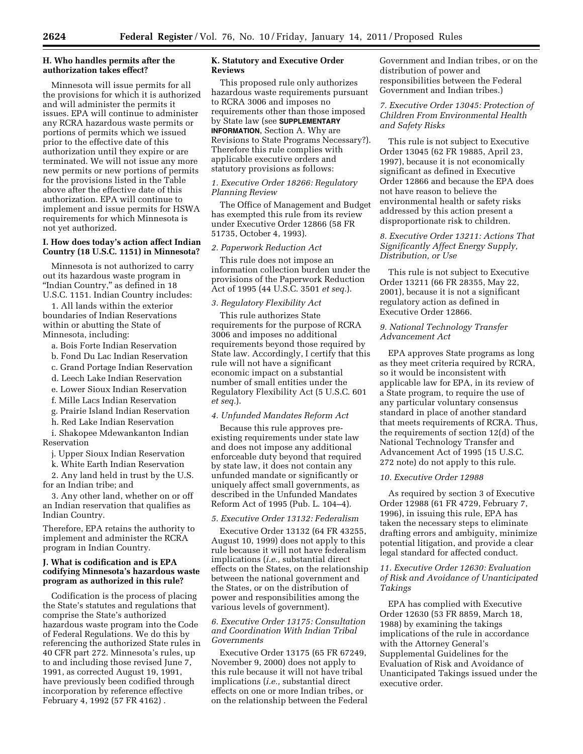# **H. Who handles permits after the authorization takes effect?**

Minnesota will issue permits for all the provisions for which it is authorized and will administer the permits it issues. EPA will continue to administer any RCRA hazardous waste permits or portions of permits which we issued prior to the effective date of this authorization until they expire or are terminated. We will not issue any more new permits or new portions of permits for the provisions listed in the Table above after the effective date of this authorization. EPA will continue to implement and issue permits for HSWA requirements for which Minnesota is not yet authorized.

## **I. How does today's action affect Indian Country (18 U.S.C. 1151) in Minnesota?**

Minnesota is not authorized to carry out its hazardous waste program in "Indian Country," as defined in 18 U.S.C. 1151. Indian Country includes:

1. All lands within the exterior boundaries of Indian Reservations within or abutting the State of Minnesota, including:

a. Bois Forte Indian Reservation

b. Fond Du Lac Indian Reservation

c. Grand Portage Indian Reservation

d. Leech Lake Indian Reservation

e. Lower Sioux Indian Reservation

f. Mille Lacs Indian Reservation

g. Prairie Island Indian Reservation

h. Red Lake Indian Reservation

i. Shakopee Mdewankanton Indian Reservation

j. Upper Sioux Indian Reservation

k. White Earth Indian Reservation 2. Any land held in trust by the U.S.

for an Indian tribe; and

3. Any other land, whether on or off an Indian reservation that qualifies as Indian Country.

Therefore, EPA retains the authority to implement and administer the RCRA program in Indian Country.

## **J. What is codification and is EPA codifying Minnesota's hazardous waste program as authorized in this rule?**

Codification is the process of placing the State's statutes and regulations that comprise the State's authorized hazardous waste program into the Code of Federal Regulations. We do this by referencing the authorized State rules in 40 CFR part 272. Minnesota's rules, up to and including those revised June 7, 1991, as corrected August 19, 1991, have previously been codified through incorporation by reference effective February 4, 1992 (57 FR 4162) .

# **K. Statutory and Executive Order Reviews**

This proposed rule only authorizes hazardous waste requirements pursuant to RCRA 3006 and imposes no requirements other than those imposed by State law (see **SUPPLEMENTARY INFORMATION**, Section A. Why are Revisions to State Programs Necessary?). Therefore this rule complies with applicable executive orders and statutory provisions as follows:

# *1. Executive Order 18266: Regulatory Planning Review*

The Office of Management and Budget has exempted this rule from its review under Executive Order 12866 (58 FR 51735, October 4, 1993).

### *2. Paperwork Reduction Act*

This rule does not impose an information collection burden under the provisions of the Paperwork Reduction Act of 1995 (44 U.S.C. 3501 *et seq.*).

# *3. Regulatory Flexibility Act*

This rule authorizes State requirements for the purpose of RCRA 3006 and imposes no additional requirements beyond those required by State law. Accordingly, I certify that this rule will not have a significant economic impact on a substantial number of small entities under the Regulatory Flexibility Act (5 U.S.C. 601 *et seq.*).

### *4. Unfunded Mandates Reform Act*

Because this rule approves preexisting requirements under state law and does not impose any additional enforceable duty beyond that required by state law, it does not contain any unfunded mandate or significantly or uniquely affect small governments, as described in the Unfunded Mandates Reform Act of 1995 (Pub. L. 104–4).

# *5. Executive Order 13132: Federalism*

Executive Order 13132 (64 FR 43255, August 10, 1999) does not apply to this rule because it will not have federalism implications (*i.e.,* substantial direct effects on the States, on the relationship between the national government and the States, or on the distribution of power and responsibilities among the various levels of government).

## *6. Executive Order 13175: Consultation and Coordination With Indian Tribal Governments*

Executive Order 13175 (65 FR 67249, November 9, 2000) does not apply to this rule because it will not have tribal implications (*i.e.,* substantial direct effects on one or more Indian tribes, or on the relationship between the Federal Government and Indian tribes, or on the distribution of power and responsibilities between the Federal Government and Indian tribes.)

# *7. Executive Order 13045: Protection of Children From Environmental Health and Safety Risks*

This rule is not subject to Executive Order 13045 (62 FR 19885, April 23, 1997), because it is not economically significant as defined in Executive Order 12866 and because the EPA does not have reason to believe the environmental health or safety risks addressed by this action present a disproportionate risk to children.

# *8. Executive Order 13211: Actions That Significantly Affect Energy Supply, Distribution, or Use*

This rule is not subject to Executive Order 13211 (66 FR 28355, May 22, 2001), because it is not a significant regulatory action as defined in Executive Order 12866.

## *9. National Technology Transfer Advancement Act*

EPA approves State programs as long as they meet criteria required by RCRA, so it would be inconsistent with applicable law for EPA, in its review of a State program, to require the use of any particular voluntary consensus standard in place of another standard that meets requirements of RCRA. Thus, the requirements of section 12(d) of the National Technology Transfer and Advancement Act of 1995 (15 U.S.C. 272 note) do not apply to this rule.

### *10. Executive Order 12988*

As required by section 3 of Executive Order 12988 (61 FR 4729, February 7, 1996), in issuing this rule, EPA has taken the necessary steps to eliminate drafting errors and ambiguity, minimize potential litigation, and provide a clear legal standard for affected conduct.

# *11. Executive Order 12630: Evaluation of Risk and Avoidance of Unanticipated Takings*

EPA has complied with Executive Order 12630 (53 FR 8859, March 18, 1988) by examining the takings implications of the rule in accordance with the Attorney General's Supplemental Guidelines for the Evaluation of Risk and Avoidance of Unanticipated Takings issued under the executive order.